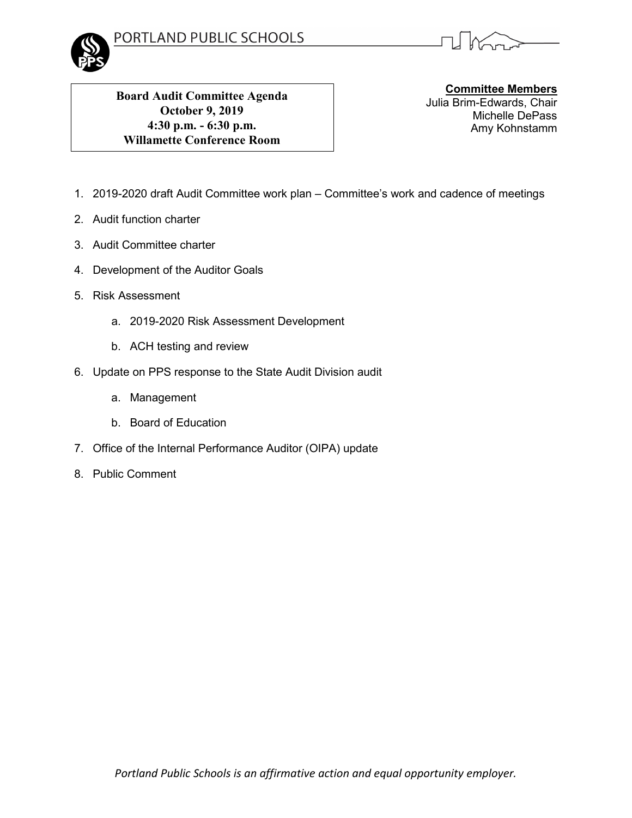



**Board Audit Committee Agenda October 9, 2019 4:30 p.m. - 6:30 p.m. Willamette Conference Room**

**Committee Members** Julia Brim-Edwards, Chair Michelle DePass Amy Kohnstamm

- 1. 2019-2020 draft Audit Committee work plan Committee's work and cadence of meetings
- 2. Audit function charter
- 3. Audit Committee charter
- 4. Development of the Auditor Goals
- 5. Risk Assessment
	- a. 2019-2020 Risk Assessment Development
	- b. ACH testing and review
- 6. Update on PPS response to the State Audit Division audit
	- a. Management
	- b. Board of Education
- 7. Office of the Internal Performance Auditor (OIPA) update
- 8. Public Comment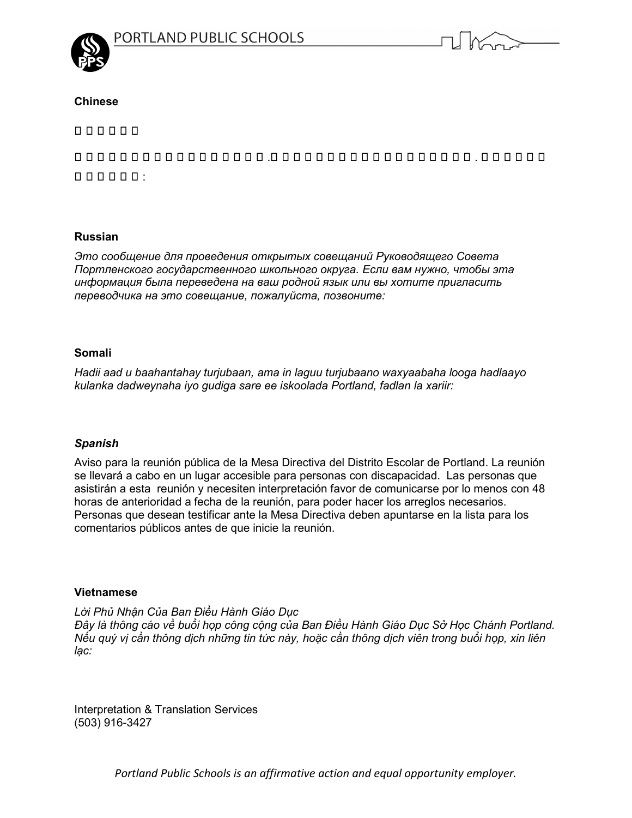



## **Chinese**

nnnnn

這通告有關波特蘭公立 學 校教育委員會 .若閣下需要有關議會資料內容翻譯或通譯 . 請聯略以下的  $000000:$ 

## **Russian**

*Это сообщение для проведения открытых совещаний Руководящего Совета Портленского государственного школьного округа. Если вам нужно, чтобы эта информация была переведена на ваш родной язык или вы хотите пригласить переводчика на это совещание, пожалуйста, позвоните:*

## **Somali**

*Hadii aad u baahantahay turjubaan, ama in laguu turjubaano waxyaabaha looga hadlaayo kulanka dadweynaha iyo gudiga sare ee iskoolada Portland, fadlan la xariir:* 

# *Spanish*

Aviso para la reunión pública de la Mesa Directiva del Distrito Escolar de Portland. La reunión se llevará a cabo en un lugar accesible para personas con discapacidad. Las personas que asistirán a esta reunión y necesiten interpretación favor de comunicarse por lo menos con 48 horas de anterioridad a fecha de la reunión, para poder hacer los arreglos necesarios. Personas que desean testificar ante la Mesa Directiva deben apuntarse en la lista para los comentarios públicos antes de que inicie la reunión.

## **Vietnamese**

*Lời Phủ Nhận Của Ban Ðiều Hành Giáo Dục Ðây là thông cáo về buổi họp công cộng của Ban Ðiều Hành Giáo Dục Sở Học Chánh Portland. Nếu quý vị cần thông dịch những tin tức này, hoặc cần thông dịch viên trong buổi họp, xin liên lạc:* 

Interpretation & Translation Services (503) 916-3427

*Portland Public Schools is an affirmative action and equal opportunity employer.*